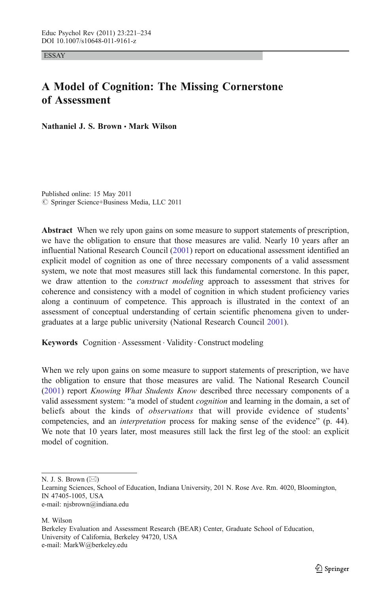ESSAY

# A Model of Cognition: The Missing Cornerstone of Assessment

Nathaniel J. S. Brown & Mark Wilson

Published online: 15 May 2011  $\circ$  Springer Science+Business Media, LLC 2011

Abstract When we rely upon gains on some measure to support statements of prescription, we have the obligation to ensure that those measures are valid. Nearly 10 years after an influential National Research Council [\(2001](#page-12-0)) report on educational assessment identified an explicit model of cognition as one of three necessary components of a valid assessment system, we note that most measures still lack this fundamental cornerstone. In this paper, we draw attention to the *construct modeling* approach to assessment that strives for coherence and consistency with a model of cognition in which student proficiency varies along a continuum of competence. This approach is illustrated in the context of an assessment of conceptual understanding of certain scientific phenomena given to undergraduates at a large public university (National Research Council [2001](#page-12-0)).

Keywords Cognition . Assessment . Validity . Construct modeling

When we rely upon gains on some measure to support statements of prescription, we have the obligation to ensure that those measures are valid. The National Research Council ([2001\)](#page-12-0) report Knowing What Students Know described three necessary components of a valid assessment system: "a model of student *cognition* and learning in the domain, a set of beliefs about the kinds of *observations* that will provide evidence of students' competencies, and an *interpretation* process for making sense of the evidence" (p. 44). We note that 10 years later, most measures still lack the first leg of the stool: an explicit model of cognition.

N. J. S. Brown  $(\boxtimes)$ 

M. Wilson Berkeley Evaluation and Assessment Research (BEAR) Center, Graduate School of Education, University of California, Berkeley 94720, USA e-mail: MarkW@berkeley.edu

Learning Sciences, School of Education, Indiana University, 201 N. Rose Ave. Rm. 4020, Bloomington, IN 47405-1005, USA e-mail: njsbrown@indiana.edu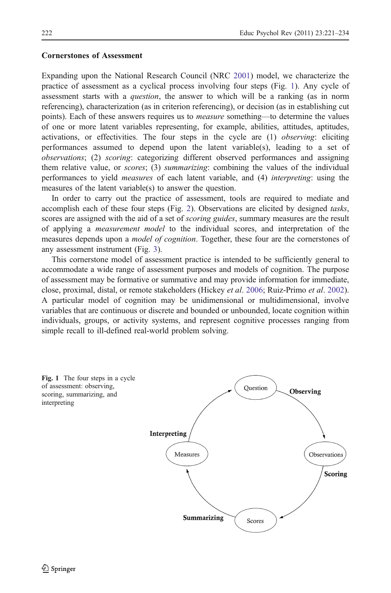## Cornerstones of Assessment

Expanding upon the National Research Council (NRC [2001\)](#page-12-0) model, we characterize the practice of assessment as a cyclical process involving four steps (Fig. 1). Any cycle of assessment starts with a question, the answer to which will be a ranking (as in norm referencing), characterization (as in criterion referencing), or decision (as in establishing cut points). Each of these answers requires us to *measure* something—to determine the values of one or more latent variables representing, for example, abilities, attitudes, aptitudes, activations, or effectivities. The four steps in the cycle are (1) observing: eliciting performances assumed to depend upon the latent variable(s), leading to a set of observations; (2) scoring: categorizing different observed performances and assigning them relative value, or *scores*; (3) *summarizing*: combining the values of the individual performances to yield measures of each latent variable, and (4) interpreting: using the measures of the latent variable(s) to answer the question.

In order to carry out the practice of assessment, tools are required to mediate and accomplish each of these four steps (Fig. [2\)](#page-2-0). Observations are elicited by designed tasks, scores are assigned with the aid of a set of *scoring guides*, summary measures are the result of applying a measurement model to the individual scores, and interpretation of the measures depends upon a *model of cognition*. Together, these four are the cornerstones of any assessment instrument (Fig. [3](#page-2-0)).

This cornerstone model of assessment practice is intended to be sufficiently general to accommodate a wide range of assessment purposes and models of cognition. The purpose of assessment may be formative or summative and may provide information for immediate, close, proximal, distal, or remote stakeholders (Hickey *et al.* [2006;](#page-12-0) Ruiz-Primo *et al.* [2002](#page-12-0)). A particular model of cognition may be unidimensional or multidimensional, involve variables that are continuous or discrete and bounded or unbounded, locate cognition within individuals, groups, or activity systems, and represent cognitive processes ranging from simple recall to ill-defined real-world problem solving.

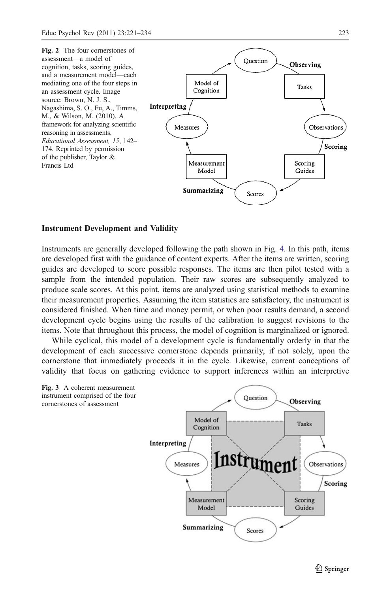<span id="page-2-0"></span>

## Instrument Development and Validity

Instruments are generally developed following the path shown in Fig. [4](#page-3-0). In this path, items are developed first with the guidance of content experts. After the items are written, scoring guides are developed to score possible responses. The items are then pilot tested with a sample from the intended population. Their raw scores are subsequently analyzed to produce scale scores. At this point, items are analyzed using statistical methods to examine their measurement properties. Assuming the item statistics are satisfactory, the instrument is considered finished. When time and money permit, or when poor results demand, a second development cycle begins using the results of the calibration to suggest revisions to the items. Note that throughout this process, the model of cognition is marginalized or ignored.

While cyclical, this model of a development cycle is fundamentally orderly in that the development of each successive cornerstone depends primarily, if not solely, upon the cornerstone that immediately proceeds it in the cycle. Likewise, current conceptions of validity that focus on gathering evidence to support inferences within an interpretive

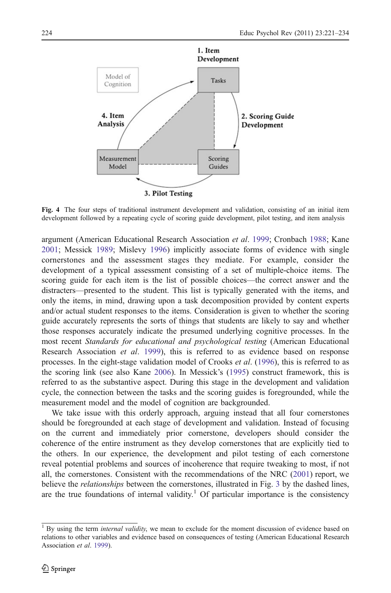<span id="page-3-0"></span>

Fig. 4 The four steps of traditional instrument development and validation, consisting of an initial item development followed by a repeating cycle of scoring guide development, pilot testing, and item analysis

argument (American Educational Research Association et al. [1999;](#page-12-0) Cronbach [1988](#page-12-0); Kane [2001;](#page-12-0) Messick [1989;](#page-12-0) Mislevy [1996\)](#page-12-0) implicitly associate forms of evidence with single cornerstones and the assessment stages they mediate. For example, consider the development of a typical assessment consisting of a set of multiple-choice items. The scoring guide for each item is the list of possible choices—the correct answer and the distracters—presented to the student. This list is typically generated with the items, and only the items, in mind, drawing upon a task decomposition provided by content experts and/or actual student responses to the items. Consideration is given to whether the scoring guide accurately represents the sorts of things that students are likely to say and whether those responses accurately indicate the presumed underlying cognitive processes. In the most recent Standards for educational and psychological testing (American Educational Research Association et al. [1999\)](#page-12-0), this is referred to as evidence based on response processes. In the eight-stage validation model of Crooks et al. ([1996\)](#page-12-0), this is referred to as the scoring link (see also Kane [2006](#page-12-0)). In Messick's ([1995\)](#page-12-0) construct framework, this is referred to as the substantive aspect. During this stage in the development and validation cycle, the connection between the tasks and the scoring guides is foregrounded, while the measurement model and the model of cognition are backgrounded.

We take issue with this orderly approach, arguing instead that all four cornerstones should be foregrounded at each stage of development and validation. Instead of focusing on the current and immediately prior cornerstone, developers should consider the coherence of the entire instrument as they develop cornerstones that are explicitly tied to the others. In our experience, the development and pilot testing of each cornerstone reveal potential problems and sources of incoherence that require tweaking to most, if not all, the cornerstones. Consistent with the recommendations of the NRC ([2001](#page-12-0)) report, we believe the *relationships* between the cornerstones, illustrated in Fig. [3](#page-2-0) by the dashed lines, are the true foundations of internal validity.<sup>1</sup> Of particular importance is the consistency

 $<sup>1</sup>$  By using the term *internal validity*, we mean to exclude for the moment discussion of evidence based on</sup> relations to other variables and evidence based on consequences of testing (American Educational Research Association et al. [1999](#page-12-0)).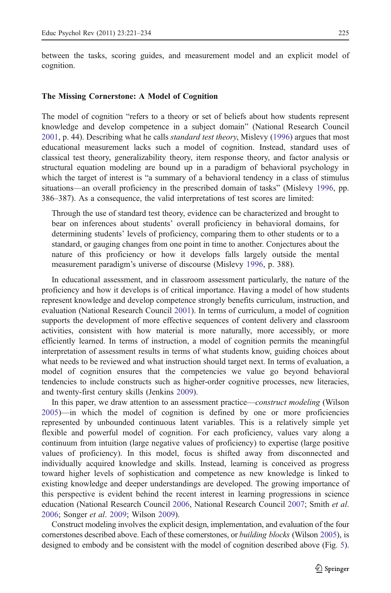between the tasks, scoring guides, and measurement model and an explicit model of cognition.

#### The Missing Cornerstone: A Model of Cognition

The model of cognition "refers to a theory or set of beliefs about how students represent knowledge and develop competence in a subject domain" (National Research Council [2001,](#page-12-0) p. 44). Describing what he calls *standard test theory*, Mislevy ([1996\)](#page-12-0) argues that most educational measurement lacks such a model of cognition. Instead, standard uses of classical test theory, generalizability theory, item response theory, and factor analysis or structural equation modeling are bound up in a paradigm of behavioral psychology in which the target of interest is "a summary of a behavioral tendency in a class of stimulus situations—an overall proficiency in the prescribed domain of tasks" (Mislevy [1996,](#page-12-0) pp. 386–387). As a consequence, the valid interpretations of test scores are limited:

Through the use of standard test theory, evidence can be characterized and brought to bear on inferences about students' overall proficiency in behavioral domains, for determining students' levels of proficiency, comparing them to other students or to a standard, or gauging changes from one point in time to another. Conjectures about the nature of this proficiency or how it develops falls largely outside the mental measurement paradigm's universe of discourse (Mislevy [1996,](#page-12-0) p. 388).

In educational assessment, and in classroom assessment particularly, the nature of the proficiency and how it develops is of critical importance. Having a model of how students represent knowledge and develop competence strongly benefits curriculum, instruction, and evaluation (National Research Council [2001\)](#page-12-0). In terms of curriculum, a model of cognition supports the development of more effective sequences of content delivery and classroom activities, consistent with how material is more naturally, more accessibly, or more efficiently learned. In terms of instruction, a model of cognition permits the meaningful interpretation of assessment results in terms of what students know, guiding choices about what needs to be reviewed and what instruction should target next. In terms of evaluation, a model of cognition ensures that the competencies we value go beyond behavioral tendencies to include constructs such as higher-order cognitive processes, new literacies, and twenty-first century skills (Jenkins [2009](#page-12-0)).

In this paper, we draw attention to an assessment practice—construct modeling (Wilson [2005\)](#page-13-0)—in which the model of cognition is defined by one or more proficiencies represented by unbounded continuous latent variables. This is a relatively simple yet flexible and powerful model of cognition. For each proficiency, values vary along a continuum from intuition (large negative values of proficiency) to expertise (large positive values of proficiency). In this model, focus is shifted away from disconnected and individually acquired knowledge and skills. Instead, learning is conceived as progress toward higher levels of sophistication and competence as new knowledge is linked to existing knowledge and deeper understandings are developed. The growing importance of this perspective is evident behind the recent interest in learning progressions in science education (National Research Council [2006](#page-12-0), National Research Council [2007](#page-12-0); Smith et al. [2006;](#page-13-0) Songer et al. [2009](#page-13-0); Wilson [2009\)](#page-13-0).

Construct modeling involves the explicit design, implementation, and evaluation of the four cornerstones described above. Each of these cornerstones, or *building blocks* (Wilson [2005\)](#page-13-0), is designed to embody and be consistent with the model of cognition described above (Fig. [5](#page-5-0)).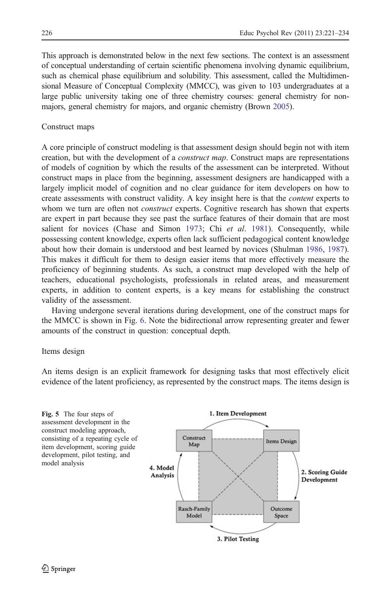<span id="page-5-0"></span>This approach is demonstrated below in the next few sections. The context is an assessment of conceptual understanding of certain scientific phenomena involving dynamic equilibrium, such as chemical phase equilibrium and solubility. This assessment, called the Multidimensional Measure of Conceptual Complexity (MMCC), was given to 103 undergraduates at a large public university taking one of three chemistry courses: general chemistry for nonmajors, general chemistry for majors, and organic chemistry (Brown [2005](#page-12-0)).

## Construct maps

A core principle of construct modeling is that assessment design should begin not with item creation, but with the development of a *construct map*. Construct maps are representations of models of cognition by which the results of the assessment can be interpreted. Without construct maps in place from the beginning, assessment designers are handicapped with a largely implicit model of cognition and no clear guidance for item developers on how to create assessments with construct validity. A key insight here is that the *content* experts to whom we turn are often not *construct* experts. Cognitive research has shown that experts are expert in part because they see past the surface features of their domain that are most salient for novices (Chase and Simon [1973;](#page-12-0) Chi et al. [1981\)](#page-12-0). Consequently, while possessing content knowledge, experts often lack sufficient pedagogical content knowledge about how their domain is understood and best learned by novices (Shulman [1986,](#page-13-0) [1987](#page-13-0)). This makes it difficult for them to design easier items that more effectively measure the proficiency of beginning students. As such, a construct map developed with the help of teachers, educational psychologists, professionals in related areas, and measurement experts, in addition to content experts, is a key means for establishing the construct validity of the assessment.

Having undergone several iterations during development, one of the construct maps for the MMCC is shown in Fig. [6](#page-6-0). Note the bidirectional arrow representing greater and fewer amounts of the construct in question: conceptual depth.

#### Items design

An items design is an explicit framework for designing tasks that most effectively elicit evidence of the latent proficiency, as represented by the construct maps. The items design is



3. Pilot Testing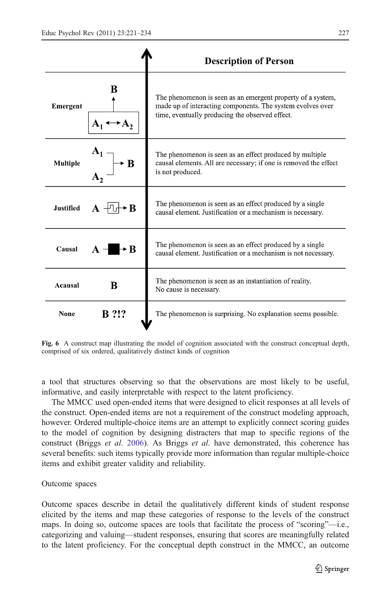<span id="page-6-0"></span>

|                  |                     | <b>Description of Person</b>                                                                                                                                                 |
|------------------|---------------------|------------------------------------------------------------------------------------------------------------------------------------------------------------------------------|
| <b>Emergent</b>  | B<br>$A_1$          | The phenomenon is seen as an emergent property of a system,<br>made up of interacting components. The system evolves over<br>time, eventually producing the observed effect. |
| Multiple         | ► B                 | The phenomenon is seen as an effect produced by multiple<br>causal elements. All are necessary; if one is removed the effect<br>is not produced.                             |
| <b>Justified</b> | $A + \rightarrow B$ | The phenomenon is seen as an effect produced by a single<br>causal element. Justification or a mechanism is necessary.                                                       |
| Causal           | $\rightarrow$ B     | The phenomenon is seen as an effect produced by a single<br>causal element. Justification or a mechanism is not necessary.                                                   |
| Acausal          | B                   | The phenomenon is seen as an instantiation of reality.<br>No cause is necessary.                                                                                             |
| None             | R ?!?               | The phenomenon is surprising. No explanation seems possible.                                                                                                                 |

Fig. 6 A construct map illustrating the model of cognition associated with the construct conceptual depth, comprised of six ordered, qualitatively distinct kinds of cognition

a tool that structures observing so that the observations are most likely to be useful, informative, and easily interpretable with respect to the latent proficiency.

The MMCC used open-ended items that were designed to elicit responses at all levels of the construct. Open-ended items are not a requirement of the construct modeling approach, however. Ordered multiple-choice items are an attempt to explicitly connect scoring guides to the model of cognition by designing distracters that map to specific regions of the construct (Briggs et al. [2006\)](#page-12-0). As Briggs et al. have demonstrated, this coherence has several benefits: such items typically provide more information than regular multiple-choice items and exhibit greater validity and reliability.

## Outcome spaces

Outcome spaces describe in detail the qualitatively different kinds of student response elicited by the items and map these categories of response to the levels of the construct maps. In doing so, outcome spaces are tools that facilitate the process of "scoring"—i.e., categorizing and valuing—student responses, ensuring that scores are meaningfully related to the latent proficiency. For the conceptual depth construct in the MMCC, an outcome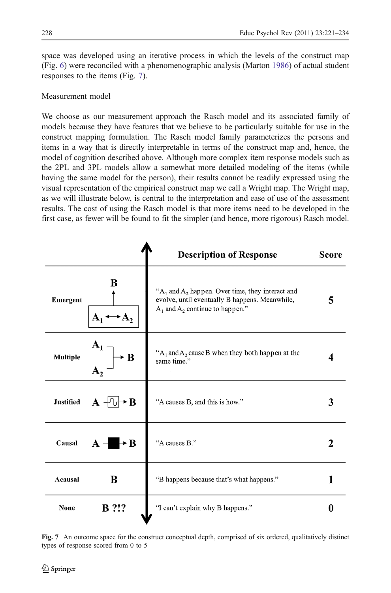<span id="page-7-0"></span>space was developed using an iterative process in which the levels of the construct map (Fig. [6\)](#page-6-0) were reconciled with a phenomenographic analysis (Marton [1986\)](#page-12-0) of actual student responses to the items (Fig. 7).

# Measurement model

We choose as our measurement approach the Rasch model and its associated family of models because they have features that we believe to be particularly suitable for use in the construct mapping formulation. The Rasch model family parameterizes the persons and items in a way that is directly interpretable in terms of the construct map and, hence, the model of cognition described above. Although more complex item response models such as the 2PL and 3PL models allow a somewhat more detailed modeling of the items (while having the same model for the person), their results cannot be readily expressed using the visual representation of the empirical construct map we call a Wright map. The Wright map, as we will illustrate below, is central to the interpretation and ease of use of the assessment results. The cost of using the Rasch model is that more items need to be developed in the first case, as fewer will be found to fit the simpler (and hence, more rigorous) Rasch model.

|                  |                                      | <b>Description of Response</b>                                                                                                                   | <b>Score</b> |
|------------------|--------------------------------------|--------------------------------------------------------------------------------------------------------------------------------------------------|--------------|
| Emergent         | В<br>$A_1 \rightarrow A_2$           | " $A_1$ and $A_2$ happen. Over time, they interact and<br>evolve, until eventually B happens. Meanwhile,<br>$A_1$ and $A_2$ continue to happen." | 5            |
| <b>Multiple</b>  | $\mathbf{A}_1$<br>$\triangleright$ B | " $A_1$ and $A_2$ cause B when they both happen at the<br>same time."                                                                            |              |
| <b>Justified</b> | $\rightarrow$ B<br>${\bf A}$         | "A causes B, and this is how."                                                                                                                   | 3            |
| Causal           | $\rightarrow$ B<br>${\bf A}$ –       | "A causes B."                                                                                                                                    | 2            |
| Acausal          | B                                    | "B happens because that's what happens."                                                                                                         | 1            |
| None             | B ?!?                                | "I can't explain why B happens."                                                                                                                 | O            |

Fig. 7 An outcome space for the construct conceptual depth, comprised of six ordered, qualitatively distinct types of response scored from 0 to 5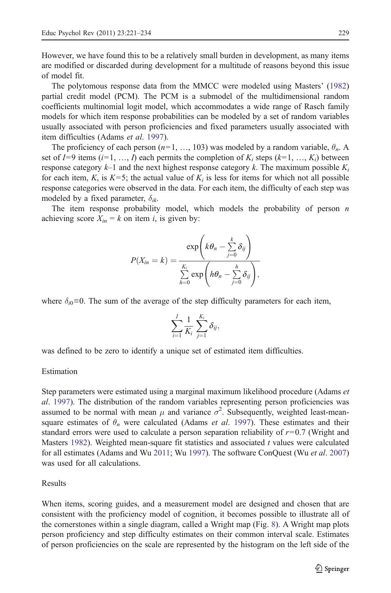However, we have found this to be a relatively small burden in development, as many items are modified or discarded during development for a multitude of reasons beyond this issue of model fit.

The polytomous response data from the MMCC were modeled using Masters' ([1982\)](#page-12-0) partial credit model (PCM). The PCM is a submodel of the multidimensional random coefficients multinomial logit model, which accommodates a wide range of Rasch family models for which item response probabilities can be modeled by a set of random variables usually associated with person proficiencies and fixed parameters usually associated with item difficulties (Adams et al. [1997](#page-11-0)).

The proficiency of each person ( $n=1, ..., 103$ ) was modeled by a random variable,  $\theta_n$ . A set of  $I=9$  items  $(i=1, ..., I)$  each permits the completion of  $K_i$  steps  $(k=1, ..., K_i)$  between response category  $k-1$  and the next highest response category k. The maximum possible  $K_i$ for each item, K, is  $K=5$ ; the actual value of  $K_i$  is less for items for which not all possible response categories were observed in the data. For each item, the difficulty of each step was modeled by a fixed parameter,  $\delta_{ik}$ .

The item response probability model, which models the probability of person  $n$ achieving score  $X_{in} = k$  on item *i*, is given by:

$$
P(X_{in} = k) = \frac{\exp\left(k\theta_n - \sum_{j=0}^{k} \delta_{ij}\right)}{\sum_{h=0}^{K_i} \exp\left(h\theta_n - \sum_{j=0}^{h} \delta_{ij}\right)},
$$

where  $\delta_{i0}$ ≡0. The sum of the average of the step difficulty parameters for each item,

$$
\sum_{i=1}^I \frac{1}{K_i} \sum_{j=1}^{K_i} \delta_{ij},
$$

was defined to be zero to identify a unique set of estimated item difficulties.

### Estimation

Step parameters were estimated using a marginal maximum likelihood procedure (Adams et al. [1997\)](#page-11-0). The distribution of the random variables representing person proficiencies was assumed to be normal with mean  $\mu$  and variance  $\sigma^2$ . Subsequently, weighted least-meansquare estimates of  $\theta_n$  were calculated (Adams *et al.* [1997\)](#page-11-0). These estimates and their standard errors were used to calculate a person separation reliability of  $r=0.7$  (Wright and Masters [1982](#page-13-0)). Weighted mean-square fit statistics and associated  $t$  values were calculated for all estimates (Adams and Wu [2011](#page-11-0); Wu [1997](#page-13-0)). The software ConQuest (Wu et al. [2007\)](#page-13-0) was used for all calculations.

### Results

When items, scoring guides, and a measurement model are designed and chosen that are consistent with the proficiency model of cognition, it becomes possible to illustrate all of the cornerstones within a single diagram, called a Wright map (Fig. [8\)](#page-9-0). A Wright map plots person proficiency and step difficulty estimates on their common interval scale. Estimates of person proficiencies on the scale are represented by the histogram on the left side of the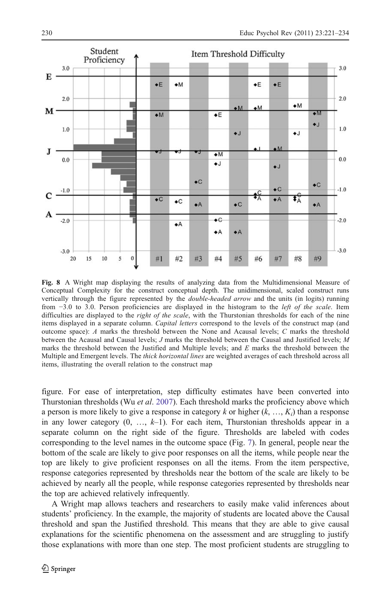<span id="page-9-0"></span>

Fig. 8 A Wright map displaying the results of analyzing data from the Multidimensional Measure of Conceptual Complexity for the construct conceptual depth. The unidimensional, scaled construct runs vertically through the figure represented by the *double-headed arrow* and the units (in logits) running from −3.0 to 3.0. Person proficiencies are displayed in the histogram to the left of the scale. Item difficulties are displayed to the *right of the scale*, with the Thurstonian thresholds for each of the nine items displayed in a separate column. *Capital letters* correspond to the levels of the construct map (and outcome space): A marks the threshold between the None and Acausal levels; C marks the threshold between the Acausal and Causal levels; J marks the threshold between the Causal and Justified levels; M marks the threshold between the Justified and Multiple levels; and  $E$  marks the threshold between the Multiple and Emergent levels. The thick horizontal lines are weighted averages of each threshold across all items, illustrating the overall relation to the construct map

figure. For ease of interpretation, step difficulty estimates have been converted into Thurstonian thresholds (Wu et al. [2007](#page-13-0)). Each threshold marks the proficiency above which a person is more likely to give a response in category k or higher  $(k, ..., K_i)$  than a response in any lower category  $(0, \ldots, k-1)$ . For each item, Thurstonian thresholds appear in a separate column on the right side of the figure. Thresholds are labeled with codes corresponding to the level names in the outcome space (Fig. [7](#page-7-0)). In general, people near the bottom of the scale are likely to give poor responses on all the items, while people near the top are likely to give proficient responses on all the items. From the item perspective, response categories represented by thresholds near the bottom of the scale are likely to be achieved by nearly all the people, while response categories represented by thresholds near the top are achieved relatively infrequently.

A Wright map allows teachers and researchers to easily make valid inferences about students' proficiency. In the example, the majority of students are located above the Causal threshold and span the Justified threshold. This means that they are able to give causal explanations for the scientific phenomena on the assessment and are struggling to justify those explanations with more than one step. The most proficient students are struggling to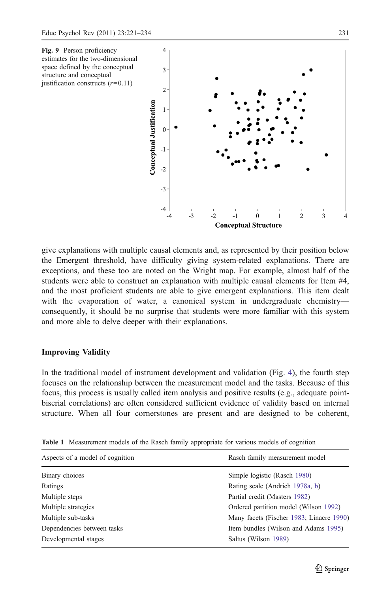<span id="page-10-0"></span>

give explanations with multiple causal elements and, as represented by their position below the Emergent threshold, have difficulty giving system-related explanations. There are exceptions, and these too are noted on the Wright map. For example, almost half of the students were able to construct an explanation with multiple causal elements for Item #4, and the most proficient students are able to give emergent explanations. This item dealt with the evaporation of water, a canonical system in undergraduate chemistry consequently, it should be no surprise that students were more familiar with this system and more able to delve deeper with their explanations.

# Improving Validity

In the traditional model of instrument development and validation (Fig. [4\)](#page-3-0), the fourth step focuses on the relationship between the measurement model and the tasks. Because of this focus, this process is usually called item analysis and positive results (e.g., adequate pointbiserial correlations) are often considered sufficient evidence of validity based on internal structure. When all four cornerstones are present and are designed to be coherent,

| Aspects of a model of cognition | Rasch family measurement model           |
|---------------------------------|------------------------------------------|
| Binary choices                  | Simple logistic (Rasch 1980)             |
| Ratings                         | Rating scale (Andrich 1978a, b)          |
| Multiple steps                  | Partial credit (Masters 1982)            |
| Multiple strategies             | Ordered partition model (Wilson 1992)    |
| Multiple sub-tasks              | Many facets (Fischer 1983; Linacre 1990) |
| Dependencies between tasks      | Item bundles (Wilson and Adams 1995)     |
| Developmental stages            | Saltus (Wilson 1989)                     |

Table 1 Measurement models of the Rasch family appropriate for various models of cognition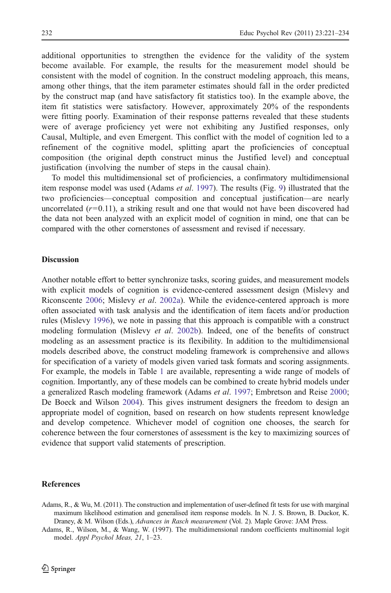<span id="page-11-0"></span>additional opportunities to strengthen the evidence for the validity of the system become available. For example, the results for the measurement model should be consistent with the model of cognition. In the construct modeling approach, this means, among other things, that the item parameter estimates should fall in the order predicted by the construct map (and have satisfactory fit statistics too). In the example above, the item fit statistics were satisfactory. However, approximately 20% of the respondents were fitting poorly. Examination of their response patterns revealed that these students were of average proficiency yet were not exhibiting any Justified responses, only Causal, Multiple, and even Emergent. This conflict with the model of cognition led to a refinement of the cognitive model, splitting apart the proficiencies of conceptual composition (the original depth construct minus the Justified level) and conceptual justification (involving the number of steps in the causal chain).

To model this multidimensional set of proficiencies, a confirmatory multidimensional item response model was used (Adams *et al.* 1[9](#page-10-0)97). The results (Fig. 9) illustrated that the two proficiencies—conceptual composition and conceptual justification—are nearly uncorrelated  $(r=0.11)$ , a striking result and one that would not have been discovered had the data not been analyzed with an explicit model of cognition in mind, one that can be compared with the other cornerstones of assessment and revised if necessary.

#### **Discussion**

Another notable effort to better synchronize tasks, scoring guides, and measurement models with explicit models of cognition is evidence-centered assessment design (Mislevy and Riconscente [2006](#page-12-0); Mislevy et al. [2002a\)](#page-12-0). While the evidence-centered approach is more often associated with task analysis and the identification of item facets and/or production rules (Mislevy [1996\)](#page-12-0), we note in passing that this approach is compatible with a construct modeling formulation (Mislevy *et al.* [2002b\)](#page-12-0). Indeed, one of the benefits of construct modeling as an assessment practice is its flexibility. In addition to the multidimensional models described above, the construct modeling framework is comprehensive and allows for specification of a variety of models given varied task formats and scoring assignments. For example, the models in Table [1](#page-10-0) are available, representing a wide range of models of cognition. Importantly, any of these models can be combined to create hybrid models under a generalized Rasch modeling framework (Adams et al. 1997; Embretson and Reise [2000](#page-12-0); De Boeck and Wilson [2004\)](#page-12-0). This gives instrument designers the freedom to design an appropriate model of cognition, based on research on how students represent knowledge and develop competence. Whichever model of cognition one chooses, the search for coherence between the four cornerstones of assessment is the key to maximizing sources of evidence that support valid statements of prescription.

# References

Adams, R., & Wu, M. (2011). The construction and implementation of user-defined fit tests for use with marginal maximum likelihood estimation and generalised item response models. In N. J. S. Brown, B. Duckor, K. Draney, & M. Wilson (Eds.), Advances in Rasch measurement (Vol. 2). Maple Grove: JAM Press.

Adams, R., Wilson, M., & Wang, W. (1997). The multidimensional random coefficients multinomial logit model. Appl Psychol Meas, 21, 1–23.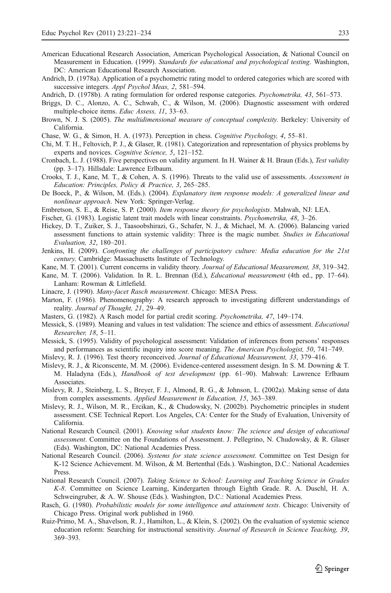- <span id="page-12-0"></span>American Educational Research Association, American Psychological Association, & National Council on Measurement in Education. (1999). Standards for educational and psychological testing. Washington, DC: American Educational Research Association.
- Andrich, D. (1978a). Application of a psychometric rating model to ordered categories which are scored with successive integers. Appl Psychol Meas, 2, 581-594.
- Andrich, D. (1978b). A rating formulation for ordered response categories. Psychometrika, 43, 561–573.
- Briggs, D. C., Alonzo, A. C., Schwab, C., & Wilson, M. (2006). Diagnostic assessment with ordered multiple-choice items. Educ Assess, 11, 33–63.
- Brown, N. J. S. (2005). The multidimensional measure of conceptual complexity. Berkeley: University of California.
- Chase, W. G., & Simon, H. A. (1973). Perception in chess. Cognitive Psychology, 4, 55–81.
- Chi, M. T. H., Feltovich, P. J., & Glaser, R. (1981). Categorization and representation of physics problems by experts and novices. Cognitive Science, 5, 121–152.
- Cronbach, L. J. (1988). Five perspectives on validity argument. In H. Wainer & H. Braun (Eds.), Test validity (pp. 3–17). Hillsdale: Lawrence Erlbaum.
- Crooks, T. J., Kane, M. T., & Cohen, A. S. (1996). Threats to the valid use of assessments. Assessment in Education: Principles, Policy & Practice, 3, 265–285.
- De Boeck, P., & Wilson, M. (Eds.). (2004). Explanatory item response models: A generalized linear and nonlinear approach. New York: Springer-Verlag.
- Embretson, S. E., & Reise, S. P. (2000). Item response theory for psychologists. Mahwah, NJ: LEA.
- Fischer, G. (1983). Logistic latent trait models with linear constraints. Psychometrika, 48, 3–26.
- Hickey, D. T., Zuiker, S. J., Taasoobshirazi, G., Schafer, N. J., & Michael, M. A. (2006). Balancing varied assessment functions to attain systemic validity: Three is the magic number. Studies in Educational Evaluation, 32, 180–201.
- Jenkins, H. (2009). Confronting the challenges of participatory culture: Media education for the 21st century. Cambridge: Massachusetts Institute of Technology.
- Kane, M. T. (2001). Current concerns in validity theory. Journal of Educational Measurement, 38, 319–342.
- Kane, M. T. (2006). Validation. In R. L. Brennan (Ed.), *Educational measurement* (4th ed., pp. 17-64). Lanham: Rowman & Littlefield.
- Linacre, J. (1990). Many-facet Rasch measurement. Chicago: MESA Press.
- Marton, F. (1986). Phenomenography: A research approach to investigating different understandings of reality. Journal of Thought, 21, 29–49.
- Masters, G. (1982). A Rasch model for partial credit scoring. Psychometrika, 47, 149–174.
- Messick, S. (1989). Meaning and values in test validation: The science and ethics of assessment. *Educational* Researcher, 18, 5–11.
- Messick, S. (1995). Validity of psychological assessment: Validation of inferences from persons' responses and performances as scientific inquiry into score meaning. The American Psychologist, 50, 741–749.
- Mislevy, R. J. (1996). Test theory reconceived. Journal of Educational Measurement, 33, 379–416.
- Mislevy, R. J., & Riconscente, M. M. (2006). Evidence-centered assessment design. In S. M. Downing & T. M. Haladyna (Eds.), Handbook of test development (pp. 61–90). Mahwah: Lawrence Erlbaum Associates.
- Mislevy, R. J., Steinberg, L. S., Breyer, F. J., Almond, R. G., & Johnson, L. (2002a). Making sense of data from complex assessments. Applied Measurement in Education, 15, 363–389.
- Mislevy, R. J., Wilson, M. R., Ercikan, K., & Chudowsky, N. (2002b). Psychometric principles in student assessment. CSE Technical Report. Los Angeles, CA: Center for the Study of Evaluation, University of California.
- National Research Council. (2001). Knowing what students know: The science and design of educational assessment. Committee on the Foundations of Assessment. J. Pellegrino, N. Chudowsky, & R. Glaser (Eds). Washington, DC: National Academies Press.
- National Research Council. (2006). Systems for state science assessment. Committee on Test Design for K-12 Science Achievement. M. Wilson, & M. Bertenthal (Eds.). Washington, D.C.: National Academies Press.
- National Research Council. (2007). Taking Science to School: Learning and Teaching Science in Grades K-8. Committee on Science Learning, Kindergarten through Eighth Grade. R. A. Duschl, H. A. Schweingruber, & A. W. Shouse (Eds.). Washington, D.C.: National Academies Press.
- Rasch, G. (1980). Probabilistic models for some intelligence and attainment tests. Chicago: University of Chicago Press. Original work published in 1960.
- Ruiz-Primo, M. A., Shavelson, R. J., Hamilton, L., & Klein, S. (2002). On the evaluation of systemic science education reform: Searching for instructional sensitivity. Journal of Research in Science Teaching, 39, 369–393.